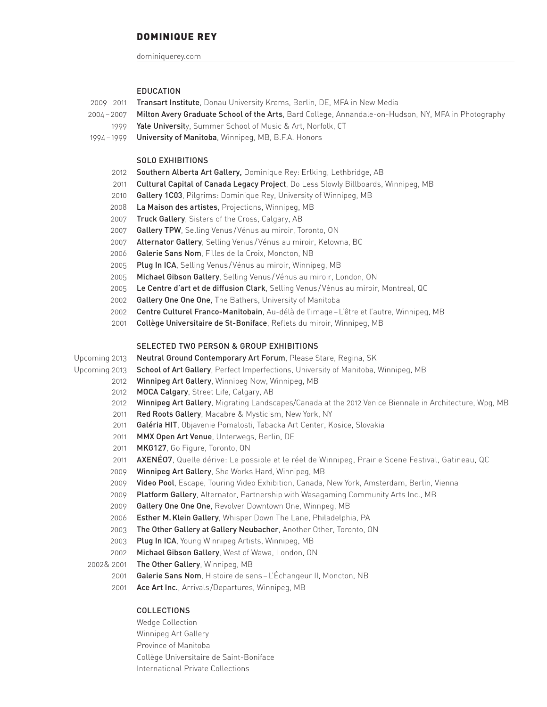# DOMINIQUE REY

 dominiquerey.com

## EDUCATION

- 2009–2011 Transart Institute, Donau University Krems, Berlin, DE, MFA in New Media
- 2004-2007 Milton Avery Graduate School of the Arts, Bard College, Annandale-on-Hudson, NY, MFA in Photography
	- 1999 Yale University, Summer School of Music & Art, Norfolk, CT
- 1994-1999 University of Manitoba, Winnipeg, MB, B.F.A. Honors

## SOLO EXHIBITIONS

- 2012 Southern Alberta Art Gallery, Dominique Rey: Erlking, Lethbridge, AB
- 2011 Cultural Capital of Canada Legacy Project, Do Less Slowly Billboards, Winnipeg, MB
- 2010 **Gallery 1C03**, Pilgrims: Dominique Rey, University of Winnipeg, MB
- 2008 La Maison des artistes, Projections, Winnipeg, MB
- 2007 Truck Gallery, Sisters of the Cross, Calgary, AB
- 2007 Gallery TPW, Selling Venus/Vénus au miroir, Toronto, ON
- 2007 Alternator Gallery, Selling Venus/Vénus au miroir, Kelowna, BC
- 2006 Galerie Sans Nom, Filles de la Croix, Moncton, NB
- 2005 Plug In ICA, Selling Venus/Vénus au miroir, Winnipeg, MB
- 2005 Michael Gibson Gallery, Selling Venus/Vénus au miroir, London, ON
- 2005 Le Centre d'art et de diffusion Clark, Selling Venus/Vénus au miroir, Montreal, QC
- 2002 Gallery One One One, The Bathers, University of Manitoba
- 2002 Centre Culturel Franco-Manitobain, Au-délà de l'image L'être et l'autre, Winnipeg, MB
- 2001 Collège Universitaire de St-Boniface, Reflets du miroir, Winnipeg, MB

#### SELECTED TWO PERSON & GROUP EXHIBITIONS

Upcoming 2013 Neutral Ground Contemporary Art Forum, Please Stare, Regina, SK

- Upcoming 2013 School of Art Gallery, Perfect Imperfections, University of Manitoba, Winnipeg, MB
	- 2012 Winnipeg Art Gallery, Winnipeg Now, Winnipeg, MB
	- 2012 MOCA Calgary, Street Life, Calgary, AB
	- 2012 Winnipeg Art Gallery, Migrating Landscapes/Canada at the 2012 Venice Biennale in Architecture, Wpg, MB
	- 2011 Red Roots Gallery, Macabre & Mysticism, New York, NY
	- 2011 Galéria HIT, Objavenie Pomalosti, Tabacka Art Center, Kosice, Slovakia
	- 2011 MMX Open Art Venue, Unterwegs, Berlin, DE
	- 2011 MKG127, Go Figure, Toronto, ON
	- 2011 AXENÉO7, Quelle dérive: Le possible et le réel de Winnipeg, Prairie Scene Festival, Gatineau, QC
	- 2009 Winnipeg Art Gallery, She Works Hard, Winnipeg, MB
	- 2009 Video Pool, Escape, Touring Video Exhibition, Canada, New York, Amsterdam, Berlin, Vienna
	- 2009 Platform Gallery, Alternator, Partnership with Wasagaming Community Arts Inc., MB
	- 2009 Gallery One One One, Revolver Downtown One, Winnpeg, MB
	- 2006 Esther M. Klein Gallery, Whisper Down The Lane, Philadelphia, PA
	- 2003 The Other Gallery at Gallery Neubacher, Another Other, Toronto, ON
	- 2003 Plug In ICA, Young Winnipeg Artists, Winnipeg, MB
	- 2002 Michael Gibson Gallery, West of Wawa, London, ON
	- 2002& 2001 The Other Gallery, Winnipeg, MB
		- 2001 Galerie Sans Nom, Histoire de sens L'Échangeur II, Moncton, NB
		- 2001 Ace Art Inc., Arrivals/Departures, Winnipeg, MB

## COLLECTIONS

 Wedge Collection Winnipeg Art Gallery Province of Manitoba Collège Universitaire de Saint-Boniface International Private Collections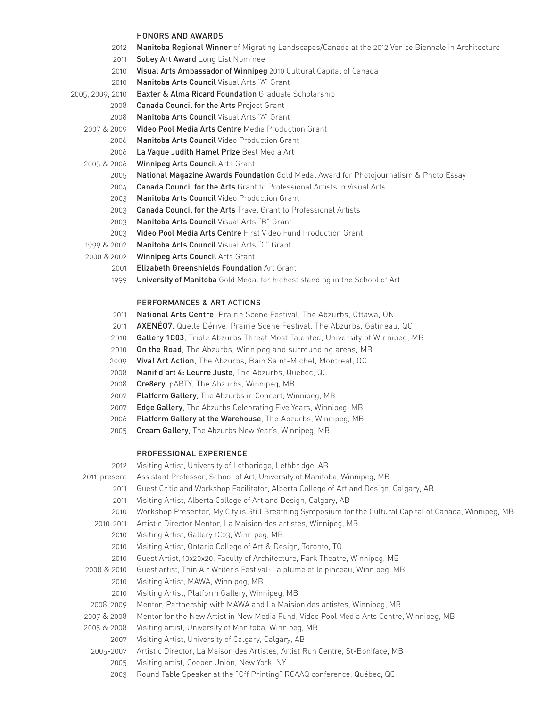## HONORS AND AWARDS

- 2012 Manitoba Regional Winner of Migrating Landscapes/Canada at the 2012 Venice Biennale in Architecture
- 2011 **Sobey Art Award** Long List Nominee
- 2010 Visual Arts Ambassador of Winnipeg 2010 Cultural Capital of Canada
- 2010 Manitoba Arts Council Visual Arts "A" Grant
- 2005, 2009, 2010 Baxter & Alma Ricard Foundation Graduate Scholarship
	- 2008 Canada Council for the Arts Project Grant
	- 2008 Manitoba Arts Council Visual Arts "A" Grant
	- 2007 & 2009 Video Pool Media Arts Centre Media Production Grant
		- 2006 Manitoba Arts Council Video Production Grant
		- 2006 La Vague Judith Hamel Prize Best Media Art
	- 2005 & 2006 Winnipeg Arts Council Arts Grant
		- 2005 National Magazine Awards Foundation Gold Medal Award for Photojournalism & Photo Essay
		- 2004 Canada Council for the Arts Grant to Professional Artists in Visual Arts
		- 2003 Manitoba Arts Council Video Production Grant
		- 2003 Canada Council for the Arts Travel Grant to Professional Artists
		- 2003 Manitoba Arts Council Visual Arts "B" Grant
		- 2003 Video Pool Media Arts Centre First Video Fund Production Grant
	- 1999 & 2002 Manitoba Arts Council Visual Arts "C" Grant
	- 2000 & 2002 Winnipeg Arts Council Arts Grant
		- 2001 Elizabeth Greenshields Foundation Art Grant
		- 1999 University of Manitoba Gold Medal for highest standing in the School of Art

# PERFORMANCES & ART ACTIONS

- 2011 National Arts Centre, Prairie Scene Festival, The Abzurbs, Ottawa, ON
- 2011 AXENÉO7, Quelle Dérive, Prairie Scene Festival, The Abzurbs, Gatineau, QC
- 2010 Gallery 1C03, Triple Abzurbs Threat Most Talented, University of Winnipeg, MB
- 2010 On the Road, The Abzurbs, Winnipeg and surrounding areas, MB
- 2009 Viva! Art Action, The Abzurbs, Bain Saint-Michel, Montreal, QC
- 2008 Manif d'art 4: Leurre Juste, The Abzurbs, Quebec, QC
- 2008 Cre8ery, pARTY, The Abzurbs, Winnipeg, MB
- 2007 Platform Gallery, The Abzurbs in Concert, Winnipeg, MB
- 2007 Edge Gallery, The Abzurbs Celebrating Five Years, Winnipeg, MB
- 2006 Platform Gallery at the Warehouse, The Abzurbs, Winnipeg, MB
- 2005 Cream Gallery, The Abzurbs New Year's, Winnipeg, MB

## PROFESSIONAL EXPERIENCE

- 2012 Visiting Artist, University of Lethbridge, Lethbridge, AB
- 2011-present Assistant Professor, School of Art, University of Manitoba, Winnipeg, MB
	- 2011 Guest Critic and Workshop Facilitator, Alberta College of Art and Design, Calgary, AB
	- 2011 Visiting Artist, Alberta College of Art and Design, Calgary, AB
	- 2010 Workshop Presenter, My City is Still Breathing Symposium for the Cultural Capital of Canada, Winnipeg, MB
	- 2010-2011 Artistic Director Mentor, La Maision des artistes, Winnipeg, MB
	- 2010 Visiting Artist, Gallery 1C03, Winnipeg, MB
		- 2010 Visiting Artist, Ontario College of Art & Design, Toronto, TO
	- 2010 Guest Artist, 10x20x20, Faculty of Architecture, Park Theatre, Winnipeg, MB
- 2008 & 2010 Guest artist, Thin Air Writer's Festival: La plume et le pinceau, Winnipeg, MB
	- 2010 Visiting Artist, MAWA, Winnipeg, MB
	- 2010 Visiting Artist, Platform Gallery, Winnipeg, MB
- 2008-2009 Mentor, Partnership with MAWA and La Maision des artistes, Winnipeg, MB
- 2007 & 2008 Mentor for the New Artist in New Media Fund, Video Pool Media Arts Centre, Winnipeg, MB
- 2005 & 2008 Visiting artist, University of Manitoba, Winnipeg, MB
- 2007 Visiting Artist, University of Calgary, Calgary, AB
- 2005-2007 Artistic Director, La Maison des Artistes, Artist Run Centre, St-Boniface, MB
	- 2005 Visiting artist, Cooper Union, New York, NY
		- 2003 Round Table Speaker at the "Off Printing" RCAAQ conference, Québec, QC